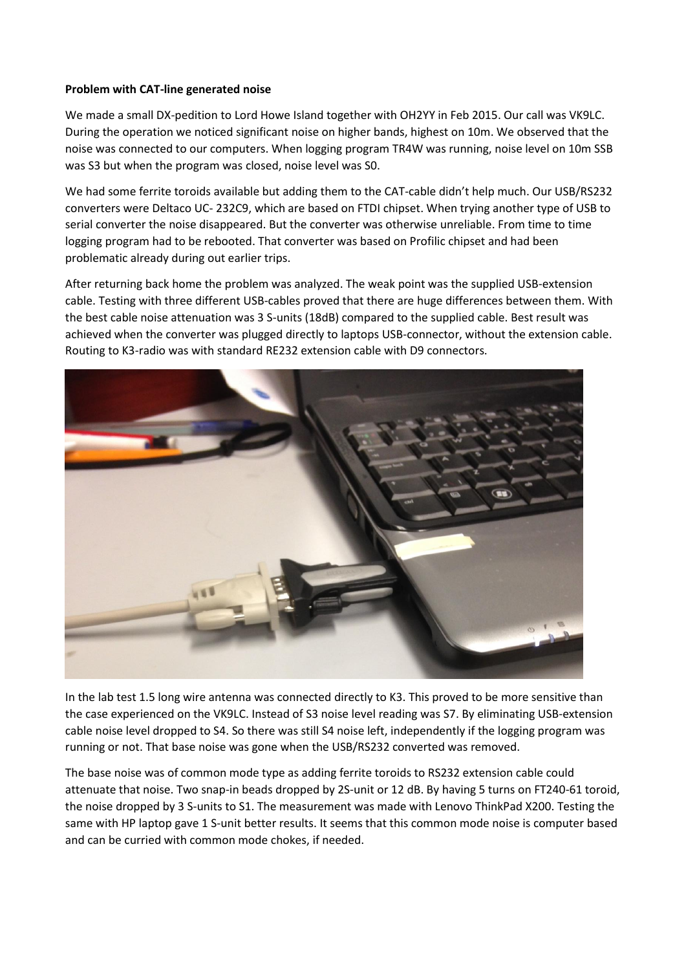## **Problem with CAT-line generated noise**

We made a small DX-pedition to Lord Howe Island together with OH2YY in Feb 2015. Our call was VK9LC. During the operation we noticed significant noise on higher bands, highest on 10m. We observed that the noise was connected to our computers. When logging program TR4W was running, noise level on 10m SSB was S3 but when the program was closed, noise level was S0.

We had some ferrite toroids available but adding them to the CAT-cable didn't help much. Our USB/RS232 converters were Deltaco UC- 232C9, which are based on FTDI chipset. When trying another type of USB to serial converter the noise disappeared. But the converter was otherwise unreliable. From time to time logging program had to be rebooted. That converter was based on Profilic chipset and had been problematic already during out earlier trips.

After returning back home the problem was analyzed. The weak point was the supplied USB-extension cable. Testing with three different USB-cables proved that there are huge differences between them. With the best cable noise attenuation was 3 S-units (18dB) compared to the supplied cable. Best result was achieved when the converter was plugged directly to laptops USB-connector, without the extension cable. Routing to K3-radio was with standard RE232 extension cable with D9 connectors.



In the lab test 1.5 long wire antenna was connected directly to K3. This proved to be more sensitive than the case experienced on the VK9LC. Instead of S3 noise level reading was S7. By eliminating USB-extension cable noise level dropped to S4. So there was still S4 noise left, independently if the logging program was running or not. That base noise was gone when the USB/RS232 converted was removed.

The base noise was of common mode type as adding ferrite toroids to RS232 extension cable could attenuate that noise. Two snap-in beads dropped by 2S-unit or 12 dB. By having 5 turns on FT240-61 toroid, the noise dropped by 3 S-units to S1. The measurement was made with Lenovo ThinkPad X200. Testing the same with HP laptop gave 1 S-unit better results. It seems that this common mode noise is computer based and can be curried with common mode chokes, if needed.